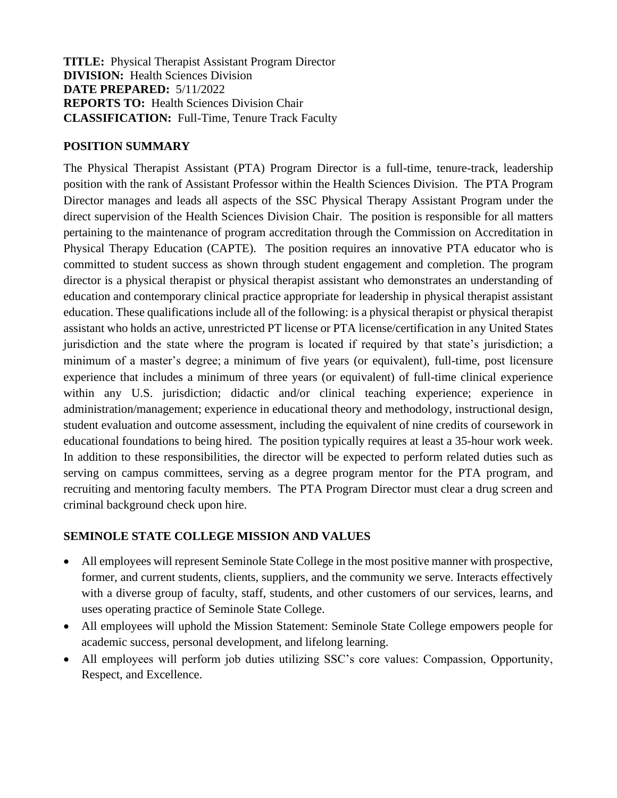**TITLE:** Physical Therapist Assistant Program Director **DIVISION:** Health Sciences Division **DATE PREPARED:** 5/11/2022 **REPORTS TO:** Health Sciences Division Chair **CLASSIFICATION:** Full-Time, Tenure Track Faculty

#### **POSITION SUMMARY**

The Physical Therapist Assistant (PTA) Program Director is a full-time, tenure-track, leadership position with the rank of Assistant Professor within the Health Sciences Division. The PTA Program Director manages and leads all aspects of the SSC Physical Therapy Assistant Program under the direct supervision of the Health Sciences Division Chair. The position is responsible for all matters pertaining to the maintenance of program accreditation through the Commission on Accreditation in Physical Therapy Education (CAPTE). The position requires an innovative PTA educator who is committed to student success as shown through student engagement and completion. The program director is a physical therapist or physical therapist assistant who demonstrates an understanding of education and contemporary clinical practice appropriate for leadership in physical therapist assistant education. These qualifications include all of the following: is a physical therapist or physical therapist assistant who holds an active, unrestricted PT license or PTA license/certification in any United States jurisdiction and the state where the program is located if required by that state's jurisdiction; a minimum of a master's degree; a minimum of five years (or equivalent), full-time, post licensure experience that includes a minimum of three years (or equivalent) of full-time clinical experience within any U.S. jurisdiction; didactic and/or clinical teaching experience; experience in administration/management; experience in educational theory and methodology, instructional design, student evaluation and outcome assessment, including the equivalent of nine credits of coursework in educational foundations to being hired. The position typically requires at least a 35-hour work week. In addition to these responsibilities, the director will be expected to perform related duties such as serving on campus committees, serving as a degree program mentor for the PTA program, and recruiting and mentoring faculty members. The PTA Program Director must clear a drug screen and criminal background check upon hire.

### **SEMINOLE STATE COLLEGE MISSION AND VALUES**

- All employees will represent Seminole State College in the most positive manner with prospective, former, and current students, clients, suppliers, and the community we serve. Interacts effectively with a diverse group of faculty, staff, students, and other customers of our services, learns, and uses operating practice of Seminole State College.
- All employees will uphold the Mission Statement: Seminole State College empowers people for academic success, personal development, and lifelong learning.
- All employees will perform job duties utilizing SSC's core values: Compassion, Opportunity, Respect, and Excellence.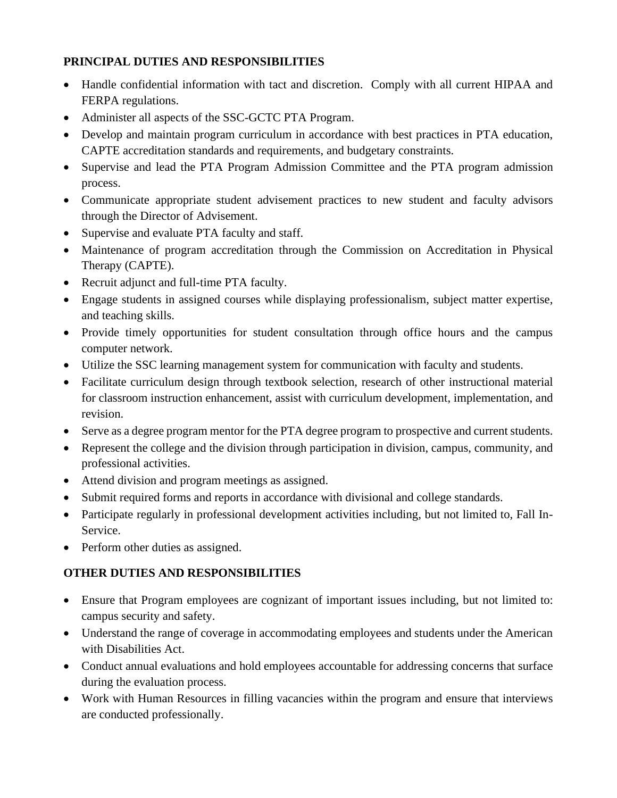## **PRINCIPAL DUTIES AND RESPONSIBILITIES**

- Handle confidential information with tact and discretion. Comply with all current HIPAA and FERPA regulations.
- Administer all aspects of the SSC-GCTC PTA Program.
- Develop and maintain program curriculum in accordance with best practices in PTA education, CAPTE accreditation standards and requirements, and budgetary constraints.
- Supervise and lead the PTA Program Admission Committee and the PTA program admission process.
- Communicate appropriate student advisement practices to new student and faculty advisors through the Director of Advisement.
- Supervise and evaluate PTA faculty and staff.
- Maintenance of program accreditation through the Commission on Accreditation in Physical Therapy (CAPTE).
- Recruit adjunct and full-time PTA faculty.
- Engage students in assigned courses while displaying professionalism, subject matter expertise, and teaching skills.
- Provide timely opportunities for student consultation through office hours and the campus computer network.
- Utilize the SSC learning management system for communication with faculty and students.
- Facilitate curriculum design through textbook selection, research of other instructional material for classroom instruction enhancement, assist with curriculum development, implementation, and revision.
- Serve as a degree program mentor for the PTA degree program to prospective and current students.
- Represent the college and the division through participation in division, campus, community, and professional activities.
- Attend division and program meetings as assigned.
- Submit required forms and reports in accordance with divisional and college standards.
- Participate regularly in professional development activities including, but not limited to, Fall In-Service.
- Perform other duties as assigned.

# **OTHER DUTIES AND RESPONSIBILITIES**

- Ensure that Program employees are cognizant of important issues including, but not limited to: campus security and safety.
- Understand the range of coverage in accommodating employees and students under the American with Disabilities Act.
- Conduct annual evaluations and hold employees accountable for addressing concerns that surface during the evaluation process.
- Work with Human Resources in filling vacancies within the program and ensure that interviews are conducted professionally.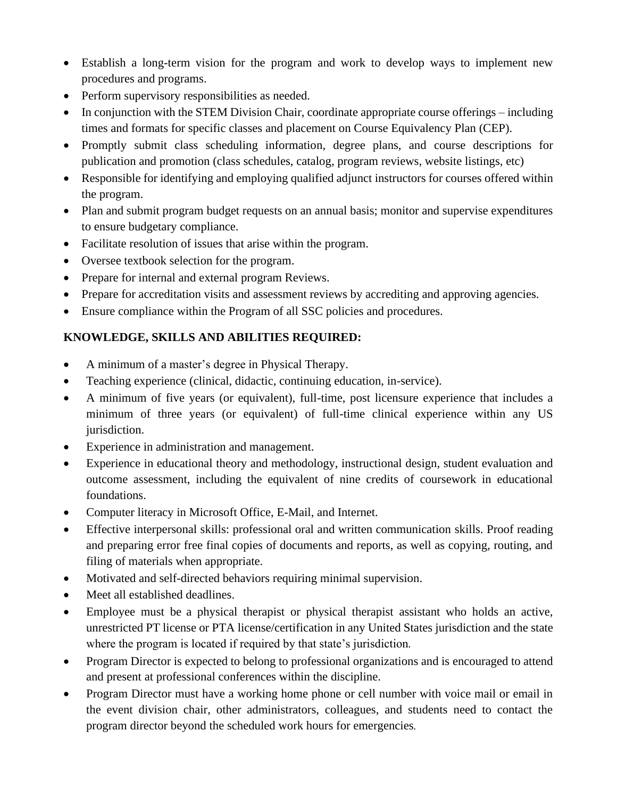- Establish a long-term vision for the program and work to develop ways to implement new procedures and programs.
- Perform supervisory responsibilities as needed.
- In conjunction with the STEM Division Chair, coordinate appropriate course offerings including times and formats for specific classes and placement on Course Equivalency Plan (CEP).
- Promptly submit class scheduling information, degree plans, and course descriptions for publication and promotion (class schedules, catalog, program reviews, website listings, etc)
- Responsible for identifying and employing qualified adjunct instructors for courses offered within the program.
- Plan and submit program budget requests on an annual basis; monitor and supervise expenditures to ensure budgetary compliance.
- Facilitate resolution of issues that arise within the program.
- Oversee textbook selection for the program.
- Prepare for internal and external program Reviews.
- Prepare for accreditation visits and assessment reviews by accrediting and approving agencies.
- Ensure compliance within the Program of all SSC policies and procedures.

# **KNOWLEDGE, SKILLS AND ABILITIES REQUIRED:**

- A minimum of a master's degree in Physical Therapy.
- Teaching experience (clinical, didactic, continuing education, in-service).
- A minimum of five years (or equivalent), full-time, post licensure experience that includes a minimum of three years (or equivalent) of full-time clinical experience within any US jurisdiction.
- Experience in administration and management.
- Experience in educational theory and methodology, instructional design, student evaluation and outcome assessment, including the equivalent of nine credits of coursework in educational foundations.
- Computer literacy in Microsoft Office, E-Mail, and Internet.
- Effective interpersonal skills: professional oral and written communication skills. Proof reading and preparing error free final copies of documents and reports, as well as copying, routing, and filing of materials when appropriate.
- Motivated and self-directed behaviors requiring minimal supervision.
- Meet all established deadlines.
- Employee must be a physical therapist or physical therapist assistant who holds an active, unrestricted PT license or PTA license/certification in any United States jurisdiction and the state where the program is located if required by that state's jurisdiction*.*
- Program Director is expected to belong to professional organizations and is encouraged to attend and present at professional conferences within the discipline.
- Program Director must have a working home phone or cell number with voice mail or email in the event division chair, other administrators, colleagues, and students need to contact the program director beyond the scheduled work hours for emergencies*.*